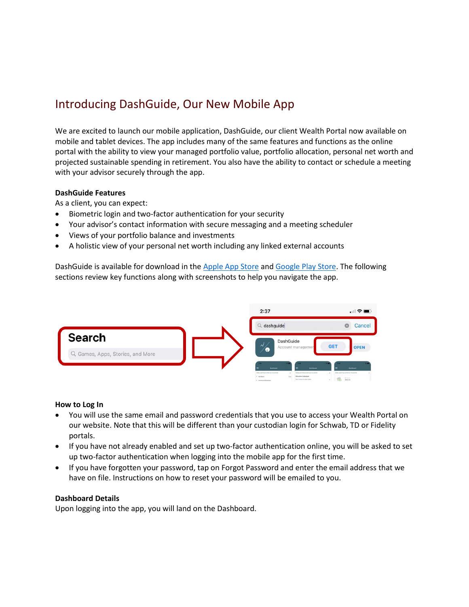# Introducing DashGuide, Our New Mobile App

We are excited to launch our mobile application, DashGuide, our client Wealth Portal now available on mobile and tablet devices. The app includes many of the same features and functions as the online portal with the ability to view your managed portfolio value, portfolio allocation, personal net worth and projected sustainable spending in retirement. You also have the ability to contact or schedule a meeting with your advisor securely through the app.

### **DashGuide Features**

As a client, you can expect:

- Biometric login and two-factor authentication for your security
- Your advisor's contact information with secure messaging and a meeting scheduler
- Views of your portfolio balance and investments
- A holistic view of your personal net worth including any linked external accounts

DashGuide is available for download in the [Apple App Store](https://apps.apple.com/us/app/dashguide/id1478282339) and [Google Play Store.](https://play.google.com/store/apps/details?id=com.owlinvest.ios.prod.client.ux) The following sections review key functions along with screenshots to help you navigate the app.



#### **How to Log In**

- You will use the same email and password credentials that you use to access your Wealth Portal on our website. Note that this will be different than your custodian login for Schwab, TD or Fidelity portals.
- If you have not already enabled and set up two-factor authentication online, you will be asked to set up two-factor authentication when logging into the mobile app for the first time.
- If you have forgotten your password, tap on Forgot Password and enter the email address that we have on file. Instructions on how to reset your password will be emailed to you.

#### **Dashboard Details**

Upon logging into the app, you will land on the Dashboard.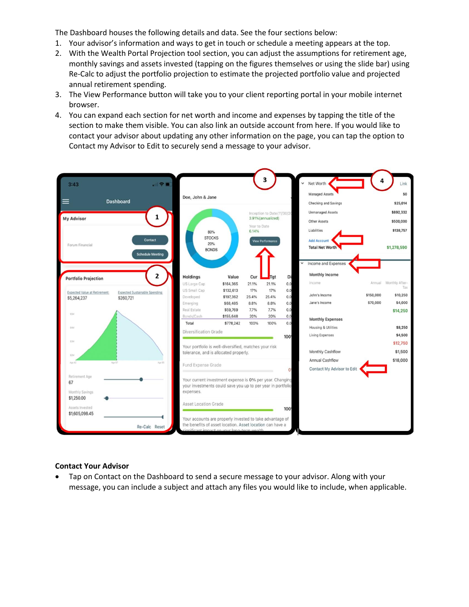The Dashboard houses the following details and data. See the four sections below:

- 1. Your advisor's information and ways to get in touch or schedule a meeting appears at the top.
- 2. With the Wealth Portal Projection tool section, you can adjust the assumptions for retirement age, monthly savings and assets invested (tapping on the figures themselves or using the slide bar) using Re-Calc to adjust the portfolio projection to estimate the projected portfolio value and projected annual retirement spending.
- 3. The View Performance button will take you to your client reporting portal in your mobile internet browser.
- 4. You can expand each section for net worth and income and expenses by tapping the title of the section to make them visible. You can also link an outside account from here. If you would like to contact your advisor about updating any other information on the page, you can tap the option to Contact my Advisor to Edit to securely send a message to your advisor.



#### **Contact Your Advisor**

• Tap on Contact on the Dashboard to send a secure message to your advisor. Along with your message, you can include a subject and attach any files you would like to include, when applicable.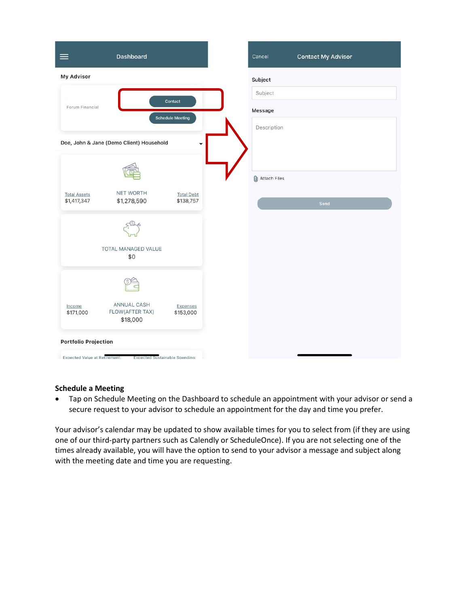| $\equiv$                             | Dashboard                                |                                | Cancel                | <b>Contact My Advisor</b> |
|--------------------------------------|------------------------------------------|--------------------------------|-----------------------|---------------------------|
| <b>My Advisor</b>                    |                                          |                                | Subject               |                           |
|                                      |                                          | Contact                        | Subject               |                           |
| Forum Financial                      |                                          | <b>Schedule Meeting</b>        | Message               |                           |
|                                      |                                          |                                | Description           |                           |
|                                      | Doe, John & Jane (Demo Client) Household | ▼                              |                       |                           |
|                                      |                                          |                                |                       |                           |
|                                      |                                          |                                | <b>O</b> Attach Files |                           |
| <b>Total Assets</b><br>\$1,417,347   | NET WORTH<br>\$1,278,590                 | <b>Total Debt</b><br>\$138,757 |                       | Send                      |
|                                      |                                          |                                |                       |                           |
|                                      |                                          |                                |                       |                           |
|                                      | TOTAL MANAGED VALUE                      |                                |                       |                           |
|                                      | \$0                                      |                                |                       |                           |
|                                      |                                          |                                |                       |                           |
|                                      | <b>ANNUAL CASH</b>                       |                                |                       |                           |
| Income<br>\$171,000                  | FLOW(AFTER TAX)<br>\$18,000              | Expenses<br>\$153,000          |                       |                           |
|                                      |                                          |                                |                       |                           |
| <b>Portfolio Projection</b>          |                                          |                                |                       |                           |
| <b>Expected Value at Retirement:</b> | Expected Sustainable Spending:           |                                |                       |                           |

## **Schedule a Meeting**

• Tap on Schedule Meeting on the Dashboard to schedule an appointment with your advisor or send a secure request to your advisor to schedule an appointment for the day and time you prefer.

Your advisor's calendar may be updated to show available times for you to select from (if they are using one of our third-party partners such as Calendly or ScheduleOnce). If you are not selecting one of the times already available, you will have the option to send to your advisor a message and subject along with the meeting date and time you are requesting.